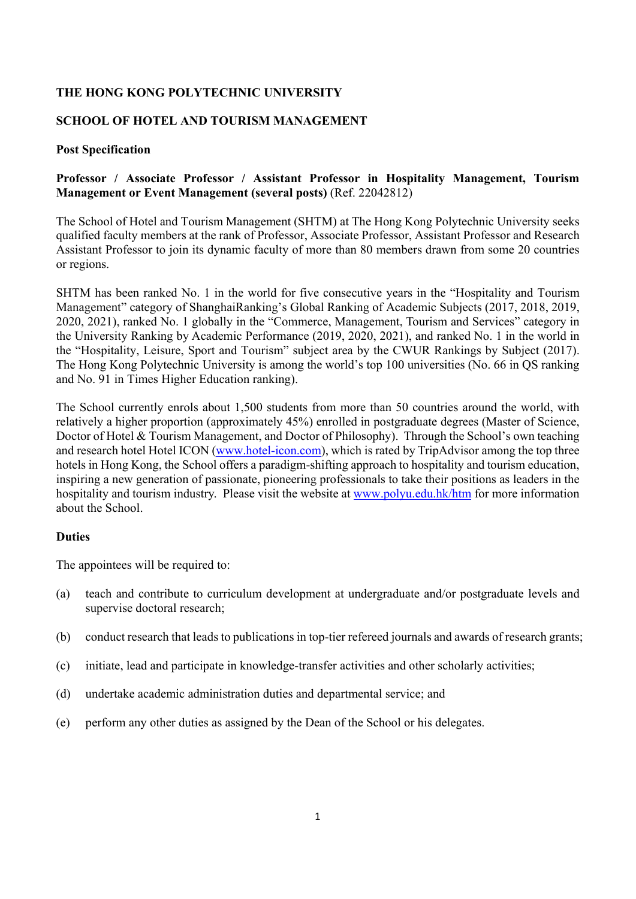## **THE HONG KONG POLYTECHNIC UNIVERSITY**

### **SCHOOL OF HOTEL AND TOURISM MANAGEMENT**

#### **Post Specification**

### **Professor / Associate Professor / Assistant Professor in Hospitality Management, Tourism Management or Event Management (several posts)** (Ref. 22042812)

The School of Hotel and Tourism Management (SHTM) at The Hong Kong Polytechnic University seeks qualified faculty members at the rank of Professor, Associate Professor, Assistant Professor and Research Assistant Professor to join its dynamic faculty of more than 80 members drawn from some 20 countries or regions.

SHTM has been ranked No. 1 in the world for five consecutive years in the "Hospitality and Tourism Management" category of ShanghaiRanking's Global Ranking of Academic Subjects (2017, 2018, 2019, 2020, 2021), ranked No. 1 globally in the "Commerce, Management, Tourism and Services" category in the University Ranking by Academic Performance (2019, 2020, 2021), and ranked No. 1 in the world in the "Hospitality, Leisure, Sport and Tourism" subject area by the CWUR Rankings by Subject (2017). The Hong Kong Polytechnic University is among the world's top 100 universities (No. 66 in QS ranking and No. 91 in Times Higher Education ranking).

The School currently enrols about 1,500 students from more than 50 countries around the world, with relatively a higher proportion (approximately 45%) enrolled in postgraduate degrees (Master of Science, Doctor of Hotel & Tourism Management, and Doctor of Philosophy). Through the School's own teaching and research hotel Hotel ICON (www.hotel-icon.com), which is rated by TripAdvisor among the top three hotels in Hong Kong, the School offers a paradigm-shifting approach to hospitality and tourism education, inspiring a new generation of passionate, pioneering professionals to take their positions as leaders in the hospitality and tourism industry. Please visit the website at www.polyu.edu.hk/htm for more information about the School.

#### **Duties**

The appointees will be required to:

- (a) teach and contribute to curriculum development at undergraduate and/or postgraduate levels and supervise doctoral research;
- (b) conduct research that leads to publications in top-tier refereed journals and awards of research grants;
- (c) initiate, lead and participate in knowledge-transfer activities and other scholarly activities;
- (d) undertake academic administration duties and departmental service; and
- (e) perform any other duties as assigned by the Dean of the School or his delegates.